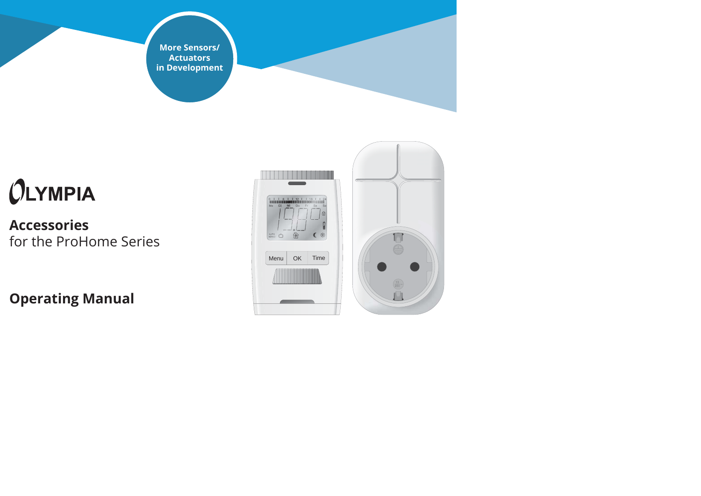**More Sensors/ Actuators in Development**

# $O<sub>LYMPIA</sub>$

## **Accessories**for the ProHome Series

**Operating Manual**



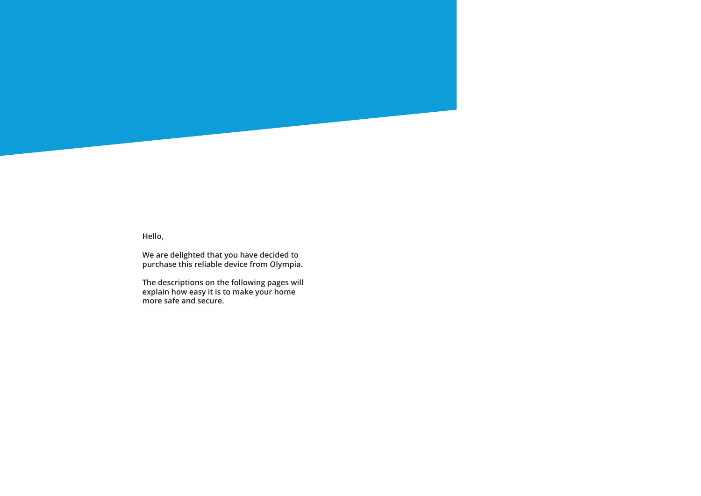

**Hello,**

**We are delighted that you have decided to purchase this reliable device from Olympia.**

**The descriptions on the following pages will explain how easy it is to make your home more safe and secure.**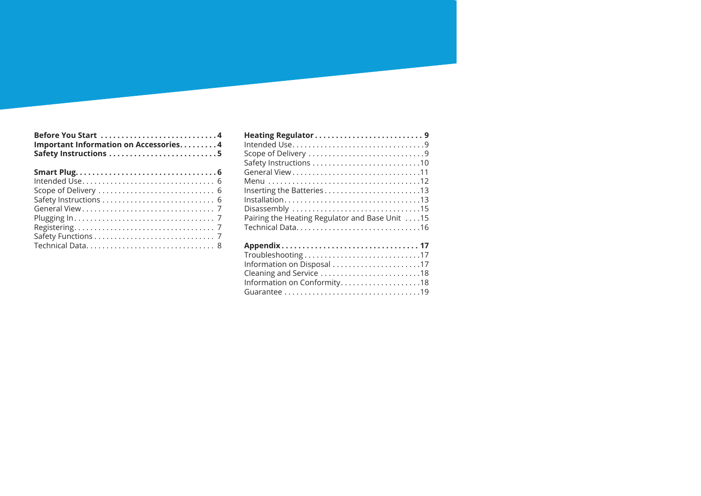| Before You Start 4<br>Important Information on Accessories4 |  |
|-------------------------------------------------------------|--|
|                                                             |  |
|                                                             |  |
|                                                             |  |
|                                                             |  |
|                                                             |  |
|                                                             |  |
|                                                             |  |
|                                                             |  |
|                                                             |  |

| Inserting the Batteries13                                                               |
|-----------------------------------------------------------------------------------------|
| $Installation \ldots \ldots \ldots \ldots \ldots \ldots \ldots \ldots \ldots \ldots 13$ |
|                                                                                         |
| Pairing the Heating Regulator and Base Unit 15                                          |
| Technical Data16                                                                        |
|                                                                                         |

| Troubleshooting17           |  |
|-----------------------------|--|
| Information on Disposal 17  |  |
| Cleaning and Service 18     |  |
| Information on Conformity18 |  |
|                             |  |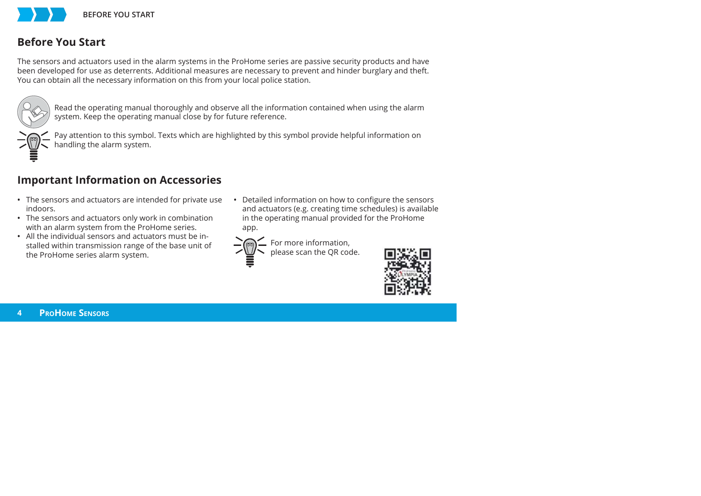

### **Before You Start**

The sensors and actuators used in the alarm systems in the ProHome series are passive security products and have been developed for use as deterrents. Additional measures are necessary to prevent and hinder burglary and theft. You can obtain all the necessary information on this from your local police station.



Read the operating manual thoroughly and observe all the information contained when using the alarm system. Keep the operating manual close by for future reference.



Pay attention to this symbol. Texts which are highlighted by this symbol provide helpful information on handling the alarm system.

## **Important Information on Accessories**

- The sensors and actuators are intended for private use indoors.
- The sensors and actuators only work in combination with an alarm system from the ProHome series.
- All the individual sensors and actuators must be installed within transmission range of the base unit of the ProHome series alarm system.
- Detailed information on how to configure the sensors and actuators (e.g. creating time schedules) is available in the operating manual provided for the ProHome app.



For more information, please scan the QR code.

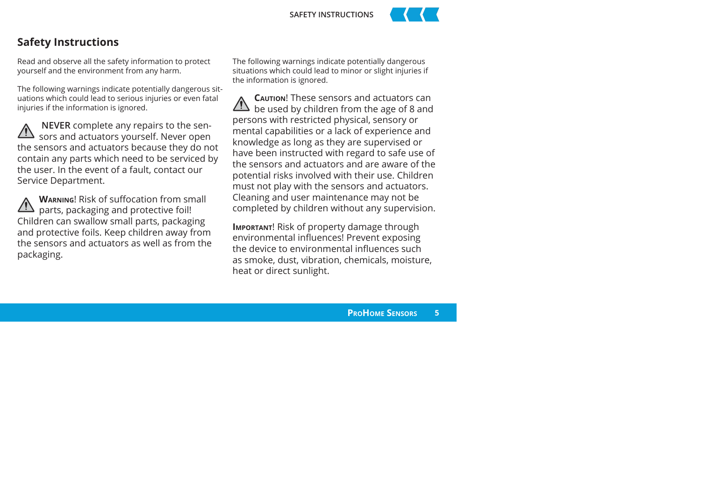



#### **Safety Instructions**

Read and observe all the safety information to protect yourself and the environment from any harm.

The following warnings indicate potentially dangerous situations which could lead to serious injuries or even fatal injuries if the information is ignored.

**NEVER** complete any repairs to the sen- $\sqrt{12}$  sors and actuators yourself. Never open the sensors and actuators because they do not contain any parts which need to be serviced by the user. In the event of a fault, contact our Service Department.

**WARNING!** Risk of suffocation from small parts, packaging and protective foil! Children can swallow small parts, packaging and protective foils. Keep children away from the sensors and actuators as well as from the packaging.

The following warnings indicate potentially dangerous situations which could lead to minor or slight injuries if the information is ignored.

**CAUTION**! These sensors and actuators can be used by children from the age of 8 and persons with restricted physical, sensory or mental capabilities or a lack of experience and knowledge as long as they are supervised or have been instructed with regard to safe use of the sensors and actuators and are aware of the potential risks involved with their use. Children must not play with the sensors and actuators. Cleaning and user maintenance may not be completed by children without any supervision.

**IMPORTANT**! Risk of property damage through environmental influences! Prevent exposing the device to environmental influences such as smoke, dust, vibration, chemicals, moisture, heat or direct sunlight.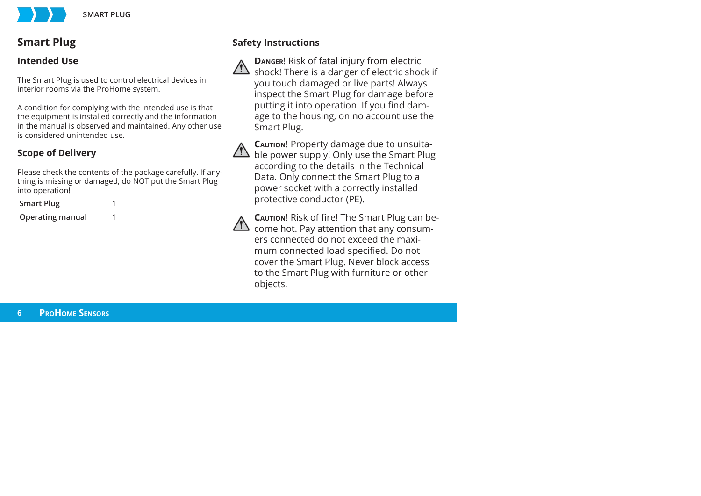

## **Smart Plug**

#### **Intended Use**

The Smart Plug is used to control electrical devices in interior rooms via the ProHome system.

A condition for complying with the intended use is that the equipment is installed correctly and the information in the manual is observed and maintained. Any other use is considered unintended use.

## **Scope of Delivery**

Please check the contents of the package carefully. If anything is missing or damaged, do NOT put the Smart Plug into operation!

**Smart Plug** 



**Operating manual** 1

## **Safety Instructions**



**DANGER**! Risk of fatal injury from electric shock! There is a danger of electric shock if you touch damaged or live parts! Always inspect the Smart Plug for damage before putting it into operation. If you find damage to the housing, on no account use the Smart Plug.



**CAUTION**! Property damage due to unsuitable power supply! Only use the Smart Plug according to the details in the Technical Data. Only connect the Smart Plug to a power socket with a correctly installed protective conductor (PE).



**CAUTION!** Risk of fire! The Smart Plug can become hot. Pay attention that any consumers connected do not exceed the maximum connected load specified. Do not cover the Smart Plug. Never block access to the Smart Plug with furniture or other objects.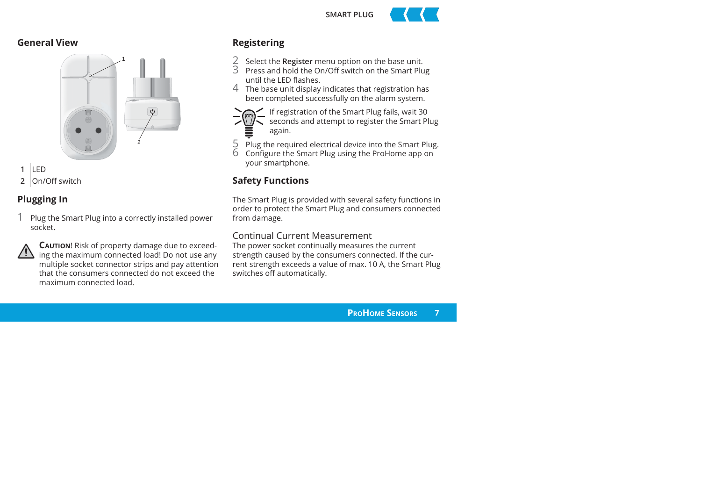**SMART PLUG**



#### **General View**



**1** LED**2** On/Off switch

## **Plugging In**

1 Plug the Smart Plug into a correctly installed power socket.



**CAUTION**! Risk of property damage due to exceeding the maximum connected load! Do not use any multiple socket connector strips and pay attention that the consumers connected do not exceed the maximum connected load.

## **Registering**

- 2 Select the **Register** menu option on the base unit.<br>2015 Press and hold the On/Off switch on the Smart Plug
- until the LED flashes
- 4 The base unit display indicates that registration has been completed successfully on the alarm system.



- If registration of the Smart Plug fails, wait 30
- seconds and attempt to register the Smart Plug again.
- $5$  Plug the required electrical device into the Smart Plug.<br>6 Configure the Smart Plug using the ProHome app on
- your smartphone.

## **Safety Functions**

The Smart Plug is provided with several safety functions in order to protect the Smart Plug and consumers connected from damage.

#### Continual Current Measurement

The power socket continually measures the current strength caused by the consumers connected. If the current strength exceeds a value of max. 10 A, the Smart Plug switches off automatically.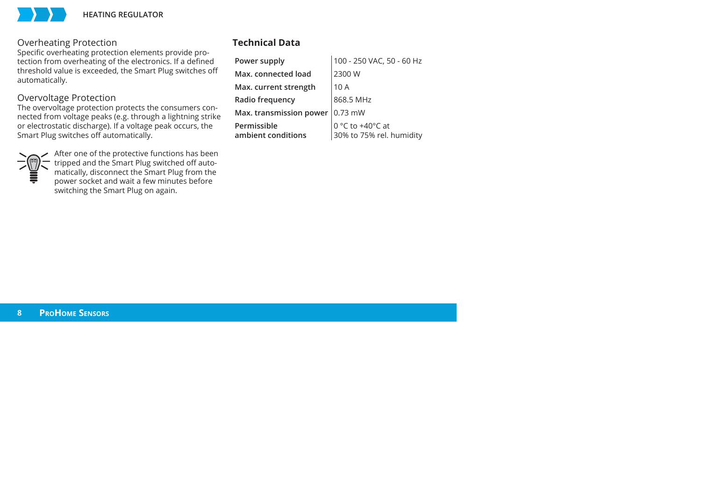

#### Overheating Protection

Specific overheating protection elements provide protection from overheating of the electronics. If a defined threshold value is exceeded, the Smart Plug switches off automatically.

#### Overvoltage Protection

The overvoltage protection protects the consumers connected from voltage peaks (e.g. through a lightning strike or electrostatic discharge). If a voltage peak occurs, the Smart Plug switches off automatically.



After one of the protective functions has been tripped and the Smart Plug switched off automatically, disconnect the Smart Plug from the power socket and wait a few minutes before switching the Smart Plug on again.

#### **Technical Data**

| Power supply                      | 100 - 250 VAC, 50 - 60 Hz                    |
|-----------------------------------|----------------------------------------------|
| Max. connected load               | 2300 W                                       |
| Max. current strength             | 10 A                                         |
| Radio frequency                   | 868.5 MHz                                    |
| Max. transmission power           | $0.73$ mW                                    |
| Permissible<br>ambient conditions | 0 °C to +40°C at<br>30% to 75% rel. humidity |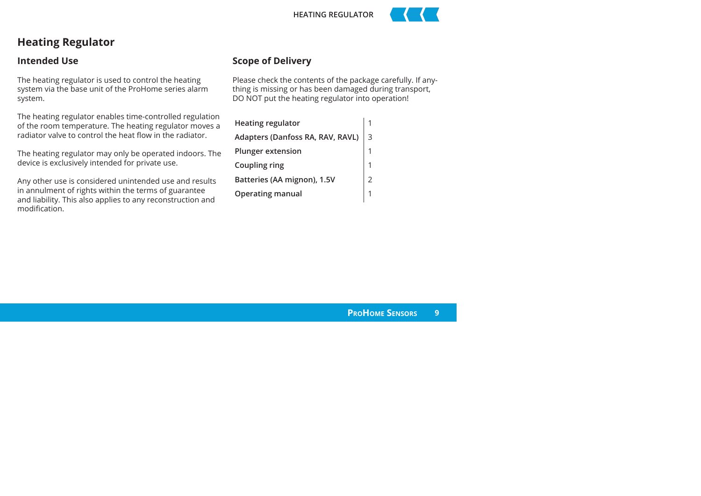



## **Heating Regulator**

#### **Intended Use**

The heating regulator is used to control the heating system via the base unit of the ProHome series alarm system.

The heating regulator enables time-controlled regulation of the room temperature. The heating regulator moves a radiator valve to control the heat flow in the radiator.

The heating regulator may only be operated indoors. The device is exclusively intended for private use.

Any other use is considered unintended use and results in annulment of rights within the terms of guarantee and liability. This also applies to any reconstruction and modification.

#### **Scope of Delivery**

Please check the contents of the package carefully. If anything is missing or has been damaged during transport, DO NOT put the heating regulator into operation!

| <b>Heating regulator</b>           |  |
|------------------------------------|--|
| Adapters (Danfoss RA, RAV, RAVL) 3 |  |
| Plunger extension                  |  |
| Coupling ring                      |  |
| Batteries (AA mignon), 1.5V        |  |
| <b>Operating manual</b>            |  |
|                                    |  |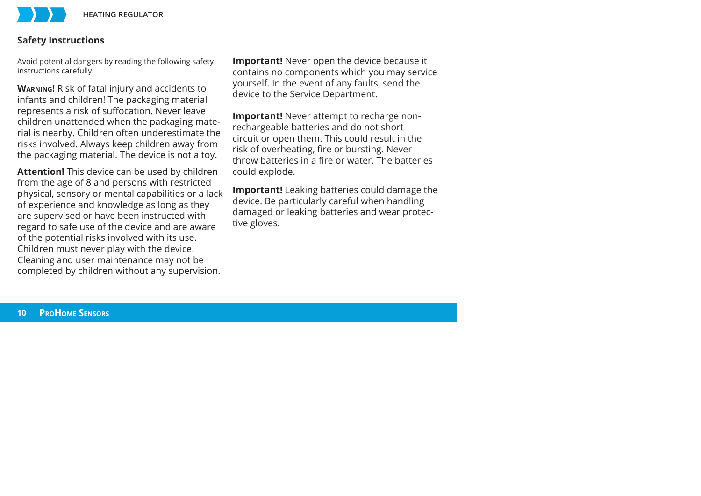#### **Safety Instructions**

Avoid potential dangers by reading the following safety instructions carefully.

**WARNING!** Risk of fatal injury and accidents to infants and children! The packaging material represents a risk of suffocation. Never leave children unattended when the packaging material is nearby. Children often underestimate the risks involved. Always keep children away from the packaging material. The device is not a toy.

**Attention!** This device can be used by children from the age of 8 and persons with restricted physical, sensory or mental capabilities or a lack of experience and knowledge as long as they are supervised or have been instructed with regard to safe use of the device and are aware of the potential risks involved with its use. Children must never play with the device. Cleaning and user maintenance may not be completed by children without any supervision.

**Important!** Never open the device because it contains no components which you may service yourself. In the event of any faults, send the device to the Service Department.

**Important!** Never attempt to recharge nonrechargeable batteries and do not short circuit or open them. This could result in the risk of overheating, fire or bursting. Never throw hatteries in a fire or water. The hatteries could explode.

**Important!** Leaking batteries could damage the device. Be particularly careful when handling damaged or leaking batteries and wear protective gloves.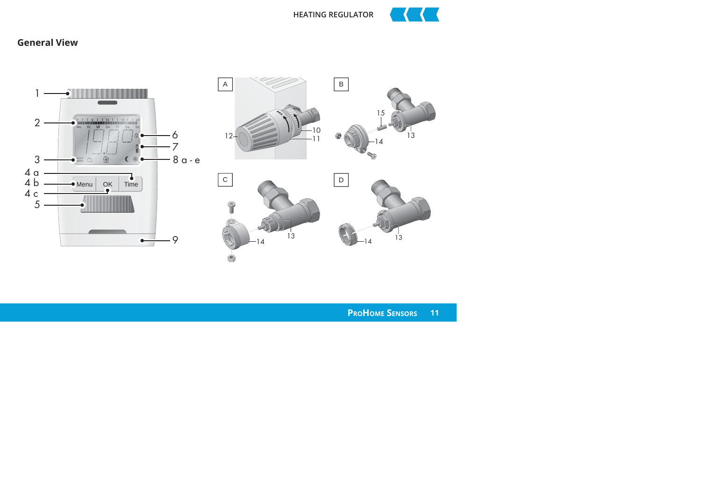

#### **General View**

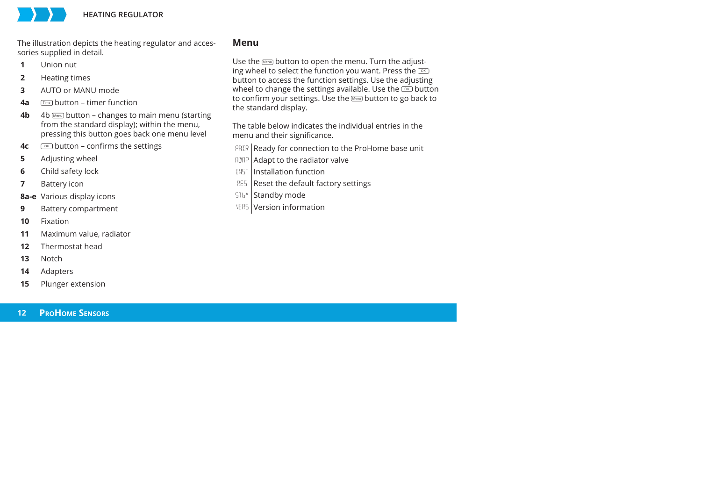

The illustration depicts the heating regulator and accessories supplied in detail.

- **1**Union nut
- **2**Heating times
- **3**AUTO or MANU mode
- **4a**Time button – timer function
- **4b** 4b Menu button – changes to main menu (starting from the standard display); within the menu, pressing this button goes back one menu level
- **4c** $\sqrt{8}$  button – confirms the settings
- **5**Adjusting wheel
- **6**Child safety lock
- **7**Battery icon
- **8a-e** Various display icons
- **9**Battery compartment
- **10**Fixation
- **11**Maximum value, radiator
- **12**Thermostat head
- **13**Notch
- **14**Adapters
- **15**Plunger extension

#### **Menu**

Use the Menu button to open the menu. Turn the adjusting wheel to select the function you want. Press the  $\overline{\circ}$ button to access the function settings. Use the adjusting wheel to change the settings available. Use the  $\infty$  button to confirm your settings. Use the Menu button to go back to the standard display.

The table below indicates the individual entries in the menu and their significance.

- PRIR Ready for connection to the ProHome base unit
- Adapt to the radiator valve
- ! Installation function
- RES Reset the default factory settings
- STbY Standby mode
- **VERS** Version information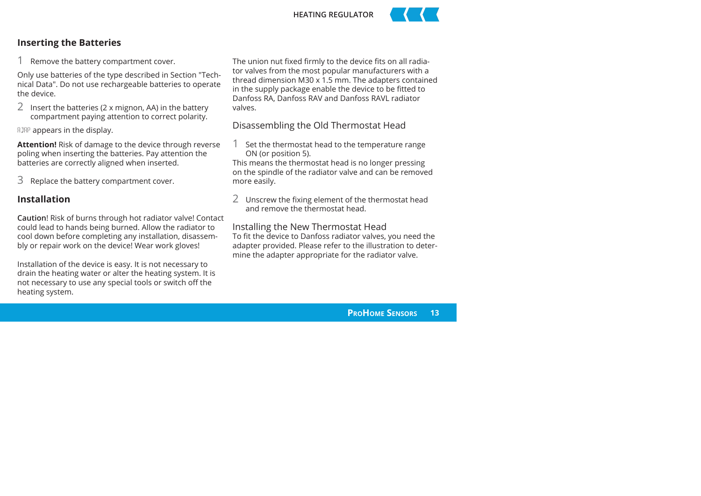



#### **Inserting the Batteries**

Remove the battery compartment cover.

Only use batteries of the type described in Section "Technical Data". Do not use rechargeable batteries to operate the device.

2 Insert the batteries (2 x mignon, AA) in the battery compartment paying attention to correct polarity.

ADAP appears in the display.

**Attention!** Risk of damage to the device through reverse poling when inserting the batteries. Pay attention the batteries are correctly aligned when inserted.

3 Replace the battery compartment cover.

#### **Installation**

**Caution**! Risk of burns through hot radiator valve! Contact could lead to hands being burned. Allow the radiator to cool down before completing any installation, disassembly or repair work on the device! Wear work gloves!

Installation of the device is easy. It is not necessary to drain the heating water or alter the heating system. It is not necessary to use any special tools or switch off the heating system.

The union nut fixed firmly to the device fits on all radiator valves from the most popular manufacturers with a thread dimension M30 x 1.5 mm. The adapters contained in the supply package enable the device to be fitted to Danfoss RA, Danfoss RAV and Danfoss RAVL radiator valves.

#### Disassembling the Old Thermostat Head

Set the thermostat head to the temperature range ON (or position 5).

This means the thermostat head is no longer pressing on the spindle of the radiator valve and can be removed more easily.

2 Unscrew the fixing element of the thermostat head and remove the thermostat head.

#### Installing the New Thermostat Head

To fit the device to Danfoss radiator valves, you need the adapter provided. Please refer to the illustration to determine the adapter appropriate for the radiator valve.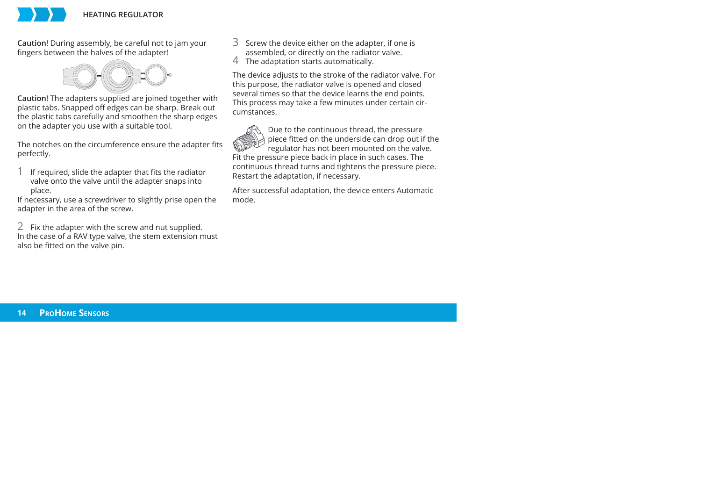

**Caution**! During assembly, be careful not to jam your fingers between the halves of the adapter!



**Caution**! The adapters supplied are joined together with plastic tabs. Snapped off edges can be sharp. Break out the plastic tabs carefully and smoothen the sharp edges on the adapter you use with a suitable tool.

The notches on the circumference ensure the adapter fits perfectly.

If required, slide the adapter that fits the radiator valve onto the valve until the adapter snaps into place.

If necessary, use a screwdriver to slightly prise open the adapter in the area of the screw.

2 Fix the adapter with the screw and nut supplied. In the case of a RAV type valve, the stem extension must also be fitted on the valve pin.

3 Screw the device either on the adapter, if one is assembled, or directly on the radiator valve.<br>The adaptation starts automatically.

The device adjusts to the stroke of the radiator valve. For this purpose, the radiator valve is opened and closed several times so that the device learns the end points. This process may take a few minutes under certain circumstances.

Due to the continuous thread, the pressure piece fitted on the underside can drop out if the regulator has not been mounted on the valve. Fit the pressure piece back in place in such cases. The continuous thread turns and tightens the pressure piece. Restart the adaptation, if necessary.

After successful adaptation, the device enters Automatic mode.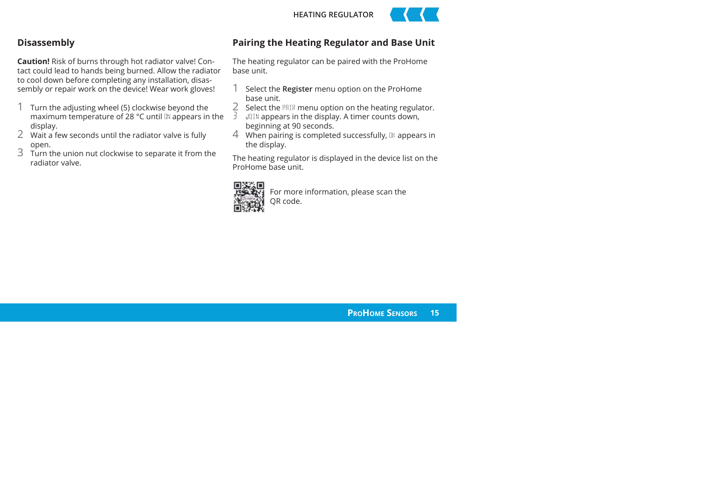



#### **Disassembly**

**Caution!** Risk of burns through hot radiator valve! Contact could lead to hands being burned. Allow the radiator to cool down before completing any installation, disassembly or repair work on the device! Wear work gloves!

- 1 Turn the adjusting wheel (5) clockwise beyond the maximum temperature of 28  $^{\circ}$ C until  $\mathbb{N}$  appears in the display.<br>2 : Wait a few seconds until the radiator valve is fully
- 
- open.<br>3 Turn the union nut clockwise to separate it from the radiator valve.

#### **Pairing the Heating Regulator and Base Unit**

The heating regulator can be paired with the ProHome base unit.

- 1 Select the **Register** menu option on the ProHome base unit.
- 2 Select the  $PRIR$  menu option on the heating regulator.<br> $\frac{3}{2}$  JnIN appears in the display. A timer counts down,
- beginning at 90 seconds.<br>4: When pairing is completed successfully,  $\mathbb{B}$  appears in
- the display.

The heating regulator is displayed in the device list on the ProHome base unit.



For more information, please scan the QR code.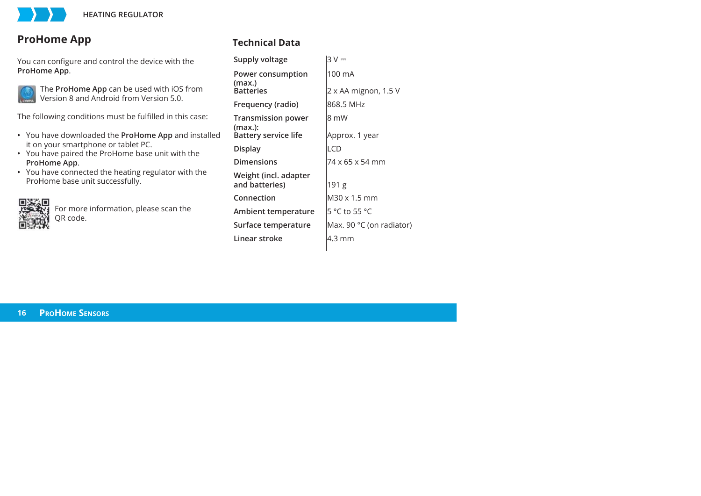## **ProHome App**

You can configure and control the device with the **ProHome App**.



The **ProHome App** can be used with iOS from Version 8 and Android from Version 5.0.

The following conditions must be fulfilled in this case:

- You have downloaded the **ProHome App** and installed it on your smartphone or tablet PC.
- You have paired the ProHome base unit with the **ProHome App.**
- You have connected the heating regulator with the ProHome base unit successfully.



For more information, please scan the OR code.

## **Technical Data**

| Supply voltage                          | 3 V                      |
|-----------------------------------------|--------------------------|
| Power consumption<br>(max.)             | 100 mA                   |
| <b>Batteries</b>                        | 2 x AA mignon, 1.5 V     |
| Frequency (radio)                       | 868.5 MHz                |
| <b>Transmission power</b>               | 8 mW                     |
| (max.):<br><b>Battery service life</b>  | Approx. 1 year           |
| Display                                 | LCD                      |
| <b>Dimensions</b>                       | 74 x 65 x 54 mm          |
| Weight (incl. adapter<br>and batteries) | 191 g                    |
| Connection                              | M30 x 1.5 mm             |
| Ambient temperature                     | 5 °C to 55 °C            |
| Surface temperature                     | Max. 90 °C (on radiator) |
| Linear stroke                           | 4.3 mm                   |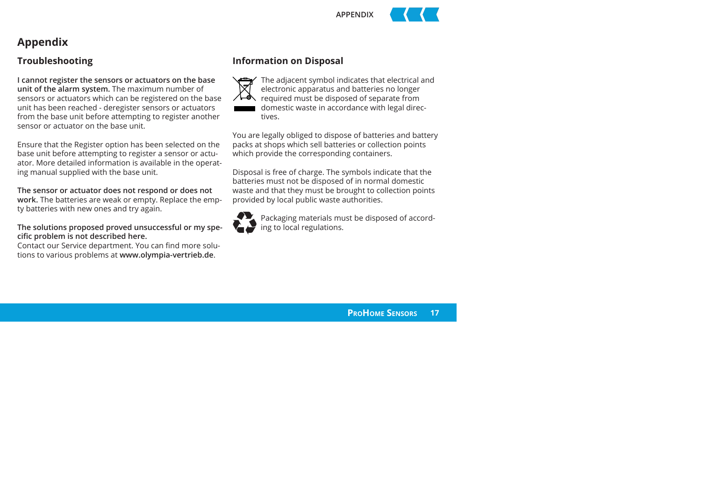

## **Appendix**

#### **Troubleshooting**

**I cannot register the sensors or actuators on the base unit of the alarm system.** The maximum number of sensors or actuators which can be registered on the base unit has been reached - deregister sensors or actuators from the base unit before attempting to register another sensor or actuator on the base unit.

Ensure that the Register option has been selected on the base unit before attempting to register a sensor or actuator. More detailed information is available in the operating manual supplied with the base unit.

**The sensor or actuator does not respond or does not work.** The batteries are weak or empty. Replace the empty batteries with new ones and try again.

**The solutions proposed proved unsuccessful or my spe**cific problem is not described here.

Contact our Service department. You can find more solutions to various problems at **www.olympia-vertrieb.de**.

#### **Information on Disposal**



The adjacent symbol indicates that electrical and electronic apparatus and batteries no longer required must be disposed of separate from domestic waste in accordance with legal directives.

You are legally obliged to dispose of batteries and battery packs at shops which sell batteries or collection points which provide the corresponding containers.

Disposal is free of charge. The symbols indicate that the batteries must not be disposed of in normal domestic waste and that they must be brought to collection points provided by local public waste authorities.



Packaging materials must be disposed of according to local regulations.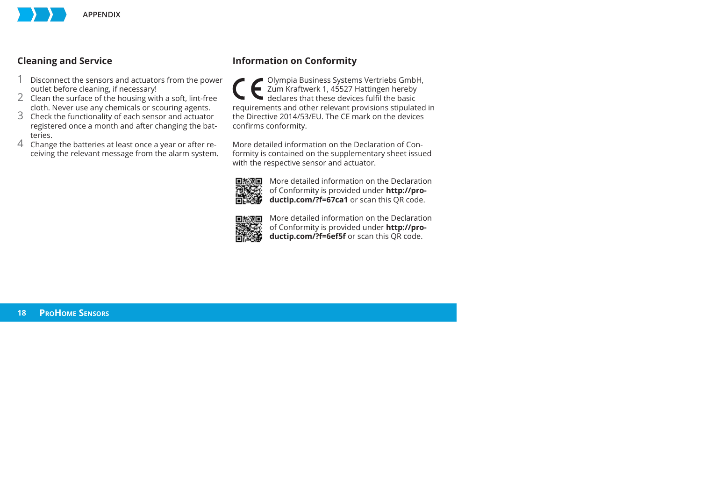

#### **Cleaning and Service**

- 1 Disconnect the sensors and actuators from the power
- outlet before cleaning, if necessary!<br>2 Clean the surface of the housing with a soft, lint-free<br>cloth. Never use any chemicals or scouring agents.
- $\overline{3}$  Check the functionality of each sensor and actuator registered once a month and after changing the batteries.
- 4 Change the batteries at least once a year or after receiving the relevant message from the alarm system.

#### **Information on Conformity**

Olympia Business Systems Vertriebs GmbH, Zum Kraftwerk 1, 45527 Hattingen hereby<br>declares that these devices fulfil the basic requirements and other relevant provisions stipulated in the Directive 2014/53/EU. The CE mark on the devices confirms conformitv.

More detailed information on the Declaration of Conformity is contained on the supplementary sheet issued with the respective sensor and actuator.



More detailed information on the Declaration of Conformity is provided under **http://productip.com/?f=67ca1** or scan this QR code.



More detailed information on the Declaration of Conformity is provided under **http://productip.com/?f=6ef5f** or scan this QR code.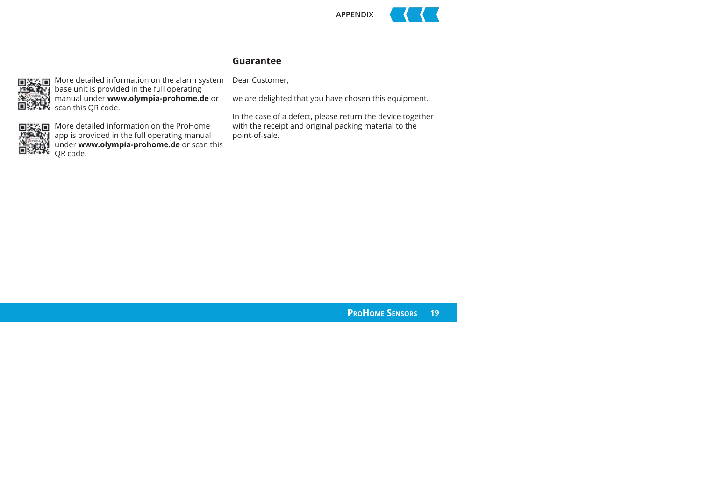

#### **Guarantee**



More detailed information on the alarm system base unit is provided in the full operating manual under **www.olympia-prohome.de** or scan this QR code.



More detailed information on the ProHome app is provided in the full operating manual under **www.olympia-prohome.de** or scan this QR code.

#### Dear Customer,

we are delighted that you have chosen this equipment.

In the case of a defect, please return the device together with the receipt and original packing material to the point-of-sale.